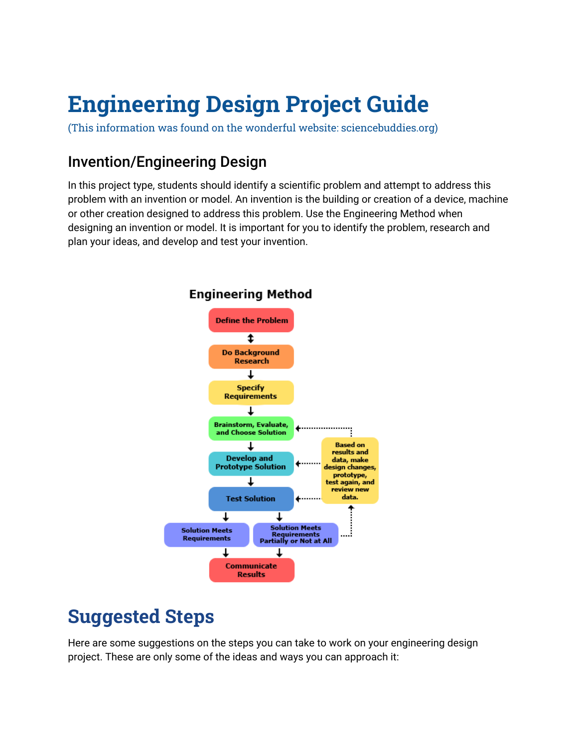# **Engineering Design Project Guide**

(This information was found on the wonderful website: sciencebuddies.org)

### Invention/Engineering Design

In this project type, students should identify a scientific problem and attempt to address this problem with an invention or model. An invention is the building or creation of a device, machine or other creation designed to address this problem. Use the Engineering Method when designing an invention or model. It is important for you to identify the problem, research and plan your ideas, and develop and test your invention.



#### **Engineering Method**

## **Suggested Steps**

Here are some suggestions on the steps you can take to work on your engineering design project. These are only some of the ideas and ways you can approach it: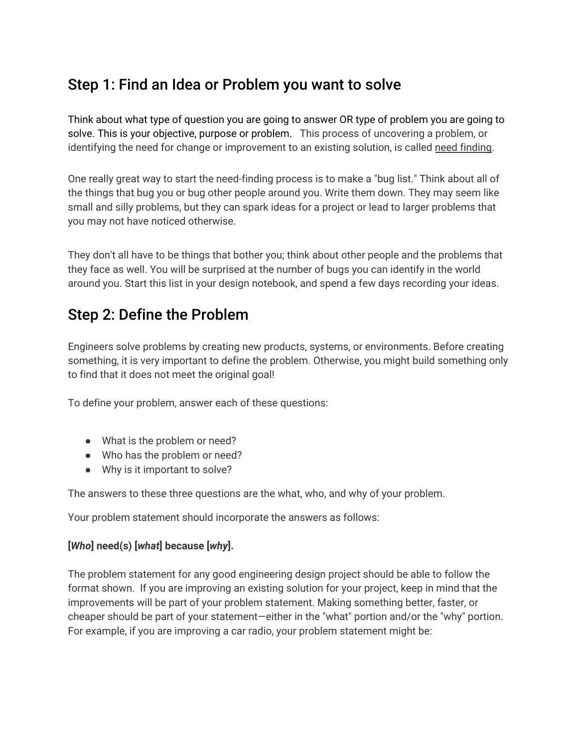### Step 1: Find an Idea or Problem you want to solve

Think about what type of question you are going to answer OR type of problem you are going to solve. This is your objective, purpose or problem. This process of uncovering a problem, or identifying the need for change or improvement to an existing solution, is called need finding.

One really great way to start the need-finding process is to make a "bug list." Think about all of the things that bug you or bug other people around you. Write them down. They may seem like small and silly problems, but they can spark ideas for a project or lead to larger problems that you may not have noticed otherwise.

They don't all have to be things that bother you; think about other people and the problems that they face as well. You will be surprised at the number of bugs you can identify in the world around you. Start this list in your design notebook, and spend a few days recording your ideas.

### Step 2: Define the Problem

Engineers solve problems by creating new products, systems, or environments. Before creating something, it is very important to define the problem. Otherwise, you might build something only to find that it does not meet the original goal!

To define your problem, answer each of these questions:

- **●** What is the problem or need?
- **●** Who has the problem or need?
- **●** Why is it important to solve?

The answers to these three questions are the what, who, and why of your problem.

Your problem statement should incorporate the answers as follows:

#### **[***Who***] need(s) [***what***] because [***why***].**

The problem statement for any good engineering design project should be able to follow the format shown. If you are improving an existing solution for your project, keep in mind that the improvements will be part of your problem statement. Making something better, faster, or cheaper should be part of your statement—either in the "what" portion and/or the "why" portion. For example, if you are improving a car radio, your problem statement might be: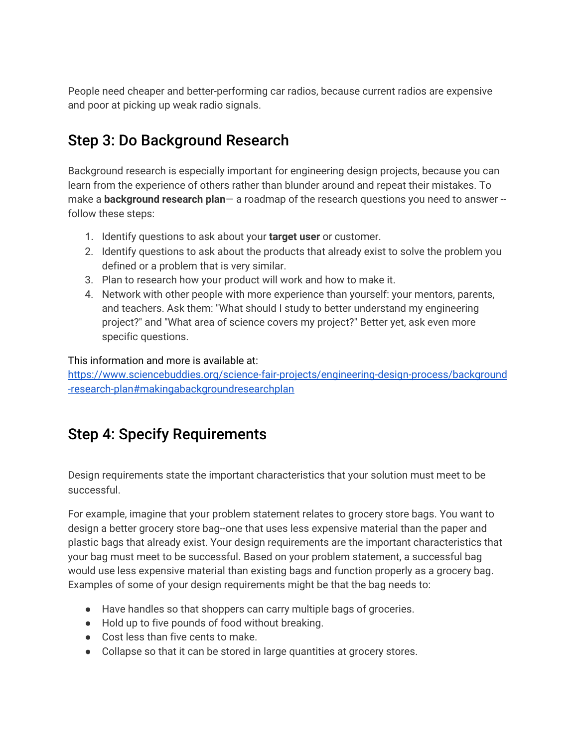People need cheaper and better-performing car radios, because current radios are expensive and poor at picking up weak radio signals.

### Step 3: Do Background Research

Background research is especially important for engineering design projects, because you can learn from the experience of others rather than blunder around and repeat their mistakes. To make a **background research plan**— a roadmap of the research questions you need to answer - follow these steps:

- 1. Identify questions to ask about your **target user** or customer.
- 2. Identify questions to ask about the products that already exist to solve the problem you defined or a problem that is very similar.
- 3. Plan to research how your product will work and how to make it.
- 4. Network with other people with more experience than yourself: your mentors, parents, and teachers. Ask them: "What should I study to better understand my engineering project?" and "What area of science covers my project?" Better yet, ask even more specific questions.

This information and more is available at:

[https://www.sciencebuddies.org/science-fair-projects/engineering-design-process/background](https://www.sciencebuddies.org/science-fair-projects/engineering-design-process/background-research-plan#makingabackgroundresearchplan) [-research-plan#makingabackgroundresearchplan](https://www.sciencebuddies.org/science-fair-projects/engineering-design-process/background-research-plan#makingabackgroundresearchplan)

### Step 4: Specify Requirements

Design requirements state the important characteristics that your solution must meet to be successful.

For example, imagine that your problem statement relates to grocery store bags. You want to design a better grocery store bag--one that uses less expensive material than the paper and plastic bags that already exist. Your design requirements are the important characteristics that your bag must meet to be successful. Based on your problem statement, a successful bag would use less expensive material than existing bags and function properly as a grocery bag. Examples of some of your design requirements might be that the bag needs to:

- Have handles so that shoppers can carry multiple bags of groceries.
- Hold up to five pounds of food without breaking.
- Cost less than five cents to make.
- Collapse so that it can be stored in large quantities at grocery stores.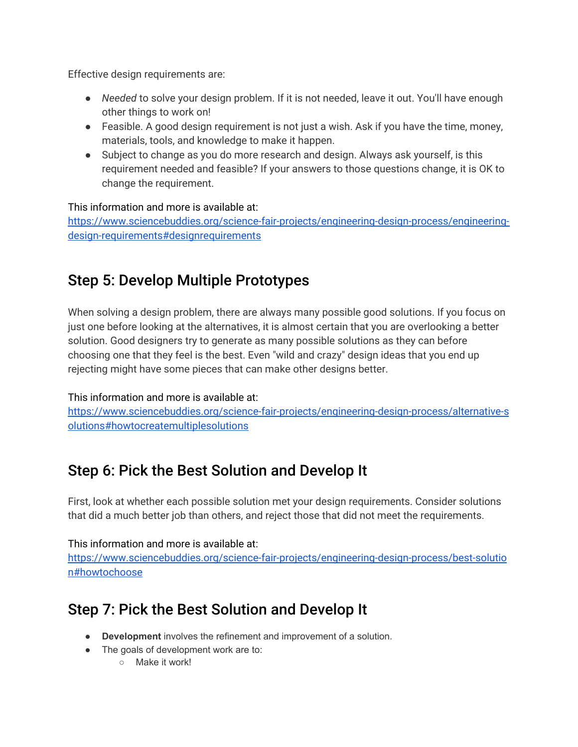Effective design requirements are:

- *Needed* to solve your design problem. If it is not needed, leave it out. You'll have enough other things to work on!
- Feasible. A good design requirement is not just a wish. Ask if you have the time, money, materials, tools, and knowledge to make it happen.
- Subject to change as you do more research and design. Always ask yourself, is this requirement needed and feasible? If your answers to those questions change, it is OK to change the requirement.

#### This information and more is available at:

[https://www.sciencebuddies.org/science-fair-projects/engineering-design-process/engineering](https://www.sciencebuddies.org/science-fair-projects/engineering-design-process/engineering-design-requirements#designrequirements)[design-requirements#designrequirements](https://www.sciencebuddies.org/science-fair-projects/engineering-design-process/engineering-design-requirements#designrequirements)

### Step 5: Develop Multiple Prototypes

When solving a design problem, there are always many possible good solutions. If you focus on just one before looking at the alternatives, it is almost certain that you are overlooking a better solution. Good designers try to generate as many possible solutions as they can before choosing one that they feel is the best. Even "wild and crazy" design ideas that you end up rejecting might have some pieces that can make other designs better.

#### This information and more is available at:

[https://www.sciencebuddies.org/science-fair-projects/engineering-design-process/alternative-s](https://www.sciencebuddies.org/science-fair-projects/engineering-design-process/alternative-solutions#howtocreatemultiplesolutions) [olutions#howtocreatemultiplesolutions](https://www.sciencebuddies.org/science-fair-projects/engineering-design-process/alternative-solutions#howtocreatemultiplesolutions)

### Step 6: Pick the Best Solution and Develop It

First, look at whether each possible solution met your design requirements. Consider solutions that did a much better job than others, and reject those that did not meet the requirements.

#### This information and more is available at:

[https://www.sciencebuddies.org/science-fair-projects/engineering-design-process/best-solutio](https://www.sciencebuddies.org/science-fair-projects/engineering-design-process/best-solution#howtochoose) [n#howtochoose](https://www.sciencebuddies.org/science-fair-projects/engineering-design-process/best-solution#howtochoose)

### Step 7: Pick the Best Solution and Develop It

- **Development** involves the refinement and improvement of a solution.
- The goals of development work are to:
	- Make it work!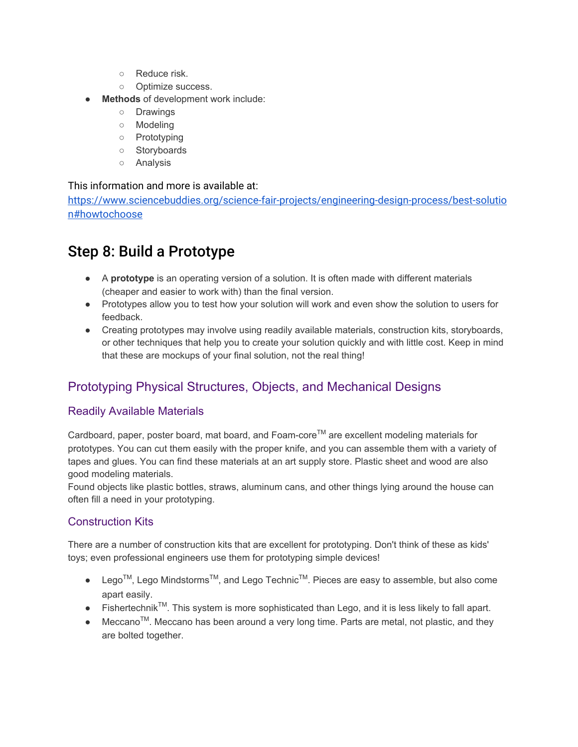- Reduce risk.
- Optimize success.
- **Methods** of development work include:
	- Drawings
	- Modeling
	- Prototyping
	- Storyboards
	- Analysis

#### This information and more is available at:

[https://www.sciencebuddies.org/science-fair-projects/engineering-design-process/best-solutio](https://www.sciencebuddies.org/science-fair-projects/engineering-design-process/best-solution#howtochoose) [n#howtochoose](https://www.sciencebuddies.org/science-fair-projects/engineering-design-process/best-solution#howtochoose)

### Step 8: Build a Prototype

- A **prototype** is an operating version of a solution. It is often made with different materials (cheaper and easier to work with) than the final version.
- Prototypes allow you to test how your solution will work and even show the solution to users for feedback.
- Creating prototypes may involve using readily available materials, construction kits, storyboards, or other techniques that help you to create your solution quickly and with little cost. Keep in mind that these are mockups of your final solution, not the real thing!

### Prototyping Physical Structures, Objects, and Mechanical Designs

#### Readily Available Materials

Cardboard, paper, poster board, mat board, and Foam-core™ are excellent modeling materials for prototypes. You can cut them easily with the proper knife, and you can assemble them with a variety of tapes and glues. You can find these materials at an art supply store. Plastic sheet and wood are also good modeling materials.

Found objects like plastic bottles, straws, aluminum cans, and other things lying around the house can often fill a need in your prototyping.

#### Construction Kits

There are a number of construction kits that are excellent for prototyping. Don't think of these as kids' toys; even professional engineers use them for prototyping simple devices!

- Lego<sup>TM</sup>, Lego Mindstorms<sup>TM</sup>, and Lego Technic<sup>TM</sup>. Pieces are easy to assemble, but also come apart easily.
- $\bullet$  Fishertechnik<sup>TM</sup>. This system is more sophisticated than Lego, and it is less likely to fall apart.
- Meccano<sup>™</sup>. Meccano has been around a very long time. Parts are metal, not plastic, and they are bolted together.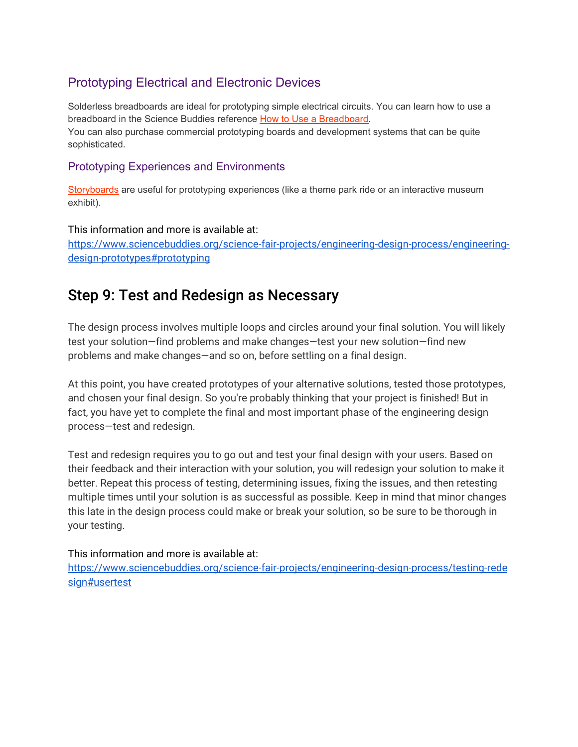### Prototyping Electrical and Electronic Devices

Solderless breadboards are ideal for prototyping simple electrical circuits. You can learn how to use a breadboard in the Science Buddies reference How to Use a [Breadboard.](https://www.sciencebuddies.org/science-fair-projects/references/how-to-use-a-breadboard) You can also purchase commercial prototyping boards and development systems that can be quite sophisticated.

#### Prototyping Experiences and Environments

[Storyboards](https://www.sciencebuddies.org/science-fair-projects/engineering-design-process/storyboards) are useful for prototyping experiences (like a theme park ride or an interactive museum exhibit).

This information and more is available at: [https://www.sciencebuddies.org/science-fair-projects/engineering-design-process/engineering](https://www.sciencebuddies.org/science-fair-projects/engineering-design-process/engineering-design-prototypes#prototyping)[design-prototypes#prototyping](https://www.sciencebuddies.org/science-fair-projects/engineering-design-process/engineering-design-prototypes#prototyping)

### Step 9: Test and Redesign as Necessary

The design process involves multiple loops and circles around your final solution. You will likely test your solution—find problems and make changes—test your new solution—find new problems and make changes—and so on, before settling on a final design.

At this point, you have created prototypes of your alternative solutions, tested those prototypes, and chosen your final design. So you're probably thinking that your project is finished! But in fact, you have yet to complete the final and most important phase of the engineering design process—test and redesign.

Test and redesign requires you to go out and test your final design with your users. Based on their feedback and their interaction with your solution, you will redesign your solution to make it better. Repeat this process of testing, determining issues, fixing the issues, and then retesting multiple times until your solution is as successful as possible. Keep in mind that minor changes this late in the design process could make or break your solution, so be sure to be thorough in your testing.

#### This information and more is available at:

[https://www.sciencebuddies.org/science-fair-projects/engineering-design-process/testing-rede](https://www.sciencebuddies.org/science-fair-projects/engineering-design-process/testing-redesign#usertest) [sign#usertest](https://www.sciencebuddies.org/science-fair-projects/engineering-design-process/testing-redesign#usertest)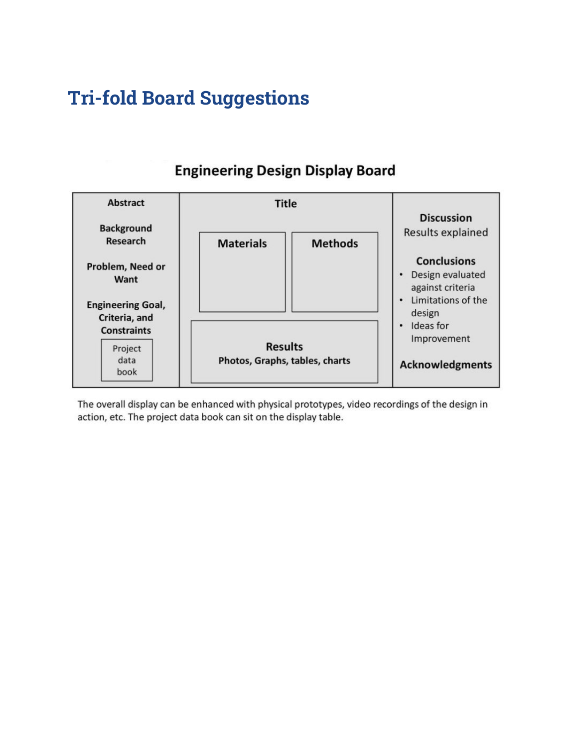## **Tri-fold Board Suggestions**



### **Engineering Design Display Board**

The overall display can be enhanced with physical prototypes, video recordings of the design in action, etc. The project data book can sit on the display table.